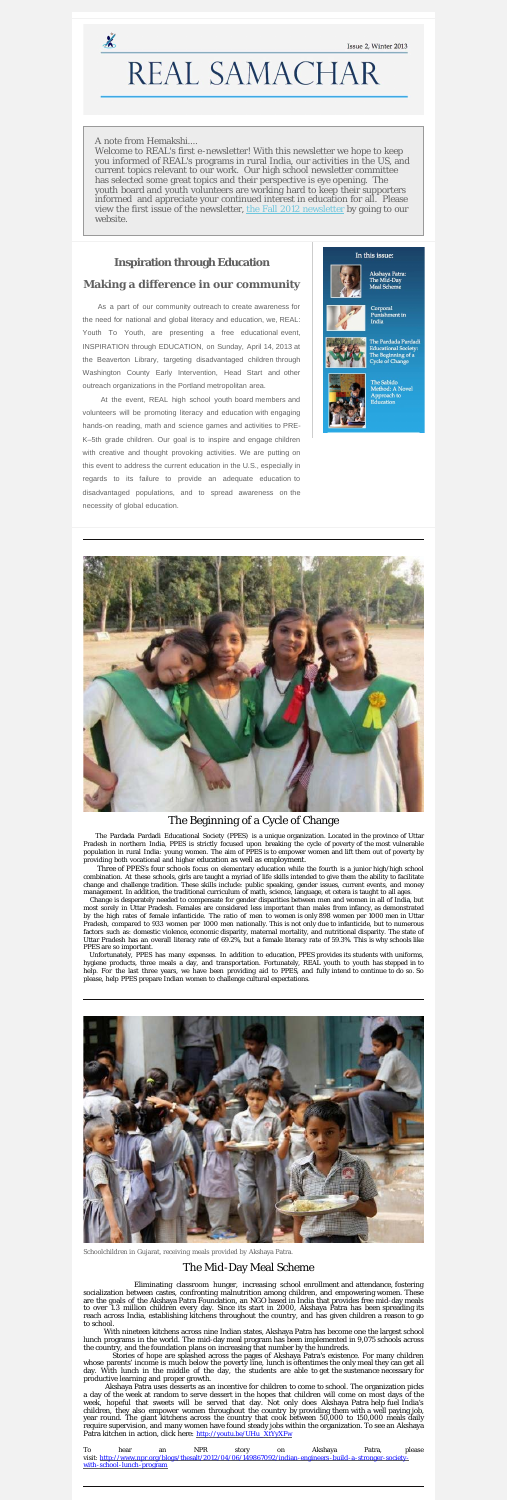# REAL SAMACHAR

#### A note from Hemakshi....

 $\frac{1}{2}$ 

Welcome to REAL's first e-newsletter! With this newsletter we hope to keep you informed of REAL's programs in rural India, our activities in the US, and current topics relevant to our work. Our high school newsletter committee has selected some great topics and their perspective is eye opening. The youth board and youth volunteers are working hard to keep their supporters informed and appreciate your continued interest in education for all. Please view the first issue of the newsletter, [the Fall 2012 newsletter](http://realyouth.org/pdf/REAL%20Samachar%20Fall%202012.pdf) by going to our website.

# **Inspiration through Education**

#### **Making a difference in our community**

As a part of our community outreach to create awareness for the need for national and global literacy and education, we, REAL: Youth To Youth, are presenting a free educational event, INSPIRATION through EDUCATION, on Sunday, April 14, 2013 at the Beaverton Library, targeting disadvantaged children through Washington County Early Intervention, Head Start and other outreach organizations in the Portland metropolitan area.

At the event, REAL high school youth board members and volunteers will be promoting literacy and education with engaging hands-on reading, math and science games and activities to PRE-K–5th grade children. Our goal is to inspire and engage children with creative and thought provoking activities. We are putting on this event to address the current education in the U.S., especially in regards to its failure to provide an adequate education to disadvantaged populations, and to spread awareness on the necessity of global education.

#### In this issue:



Akshaya Patra:<br>The Mid-Day Meal Scheme



Corporal **Punishment in** India



The Pardada Pardadi **Educational Society:** The Beginning of a **Cycle of Change** 



The Sabido Method: A Novel Approach to<br>Education



#### The Beginning of a Cycle of Change

 The Pardada Pardadi Educational Society (PPES) is a unique organization. Located in the province of Uttar Pradesh in northern India, PPES is strictly focused upon breaking the cycle of poverty of the most vulnerable population in rural India: young women. The aim of PPES is to empower women and lift them out of poverty by providing both vocational and higher education as well as employment.

 Three of PPES's four schools focus on elementary education while the fourth is a junior high/high school combination. At these schools, girls are taught a myriad of life skills intended to give them the ability to facilitate change and challenge tradition. These skills include: public speaking, gender issues, current events, and money management. In addition, the traditional curriculum of math, science, language, et cetera is taught to all ages.

Akshaya Patra uses desserts as an incentive for children to come to school. The organization picks a day of the week at random to serve dessert in the hopes that children will come on most days of the week, hopeful that sweets will be served that day. Not only does Akshaya Patra help fuel India's children, they also empower women throughout the country by providing them with a well paying job, year round. The giant kitchens across the country that cook between 50,000 to 150,000 meals daily require supervision, and many women have found steady jobs within the organization. To see an Akshaya Patra kitchen in action, click here: [http://youtu.be/UHu\\_XtYyXFw](http://youtu.be/UHu_XtYyXFw)

Change is desperately needed to compensate for gender disparities between men and women in all of India, but most sorely in Uttar Pradesh. Females are considered less important than males from infancy, as demonstrated by the high rates of female infanticide. The ratio of men to women is only 898 women per 1000 men in Uttar Pradesh, compared to 933 women per 1000 men nationally. This is not only due to infanticide, but to numerous factors such as: domestic violence, economic disparity, maternal mortality, and nutritional disparity. The state of Uttar Pradesh has an overall literacy rate of 69.2%, but a female literacy rate of 59.3%. This is why schools like PPES are so important.

 Unfortunately, PPES has many expenses. In addition to education, PPES provides its students with uniforms, hygiene products, three meals a day, and transportation. Fortunately, REAL youth to youth has stepped in to help. For the last three years, we have been providing aid to PPES, and fully intend to continue to do so. So please, help PPES prepare Indian women to challenge cultural expectations.



Schoolchildren in Gujarat, receiving meals provided by Akshaya Patra.

## The Mid-Day Meal Scheme

 Eliminating classroom hunger, increasing school enrollment and attendance, fostering socialization between castes, confronting malnutrition among children, and empowering women. These are the goals of the Akshaya Patra Foundation, an NGO based in India that provides free mid-day meals to over 1.3 million children every day. Since its start in 2000, Akshaya Patra has been spreading its reach across India, establishing kitchens throughout the country, and has given children a reason to go to school.

With nineteen kitchens across nine Indian states, Akshaya Patra has become one the largest school lunch programs in the world. The mid-day meal program has been implemented in 9,075 schools across the country, and the foundation plans on increasing that number by the hundreds.

 Stories of hope are splashed across the pages of Akshaya Patra's existence. For many children whose parents' income is much below the poverty line, lunch is oftentimes the only meal they can get all day. With lunch in the middle of the day, the students are able to get the sustenance necessary for productive learning and proper growth.